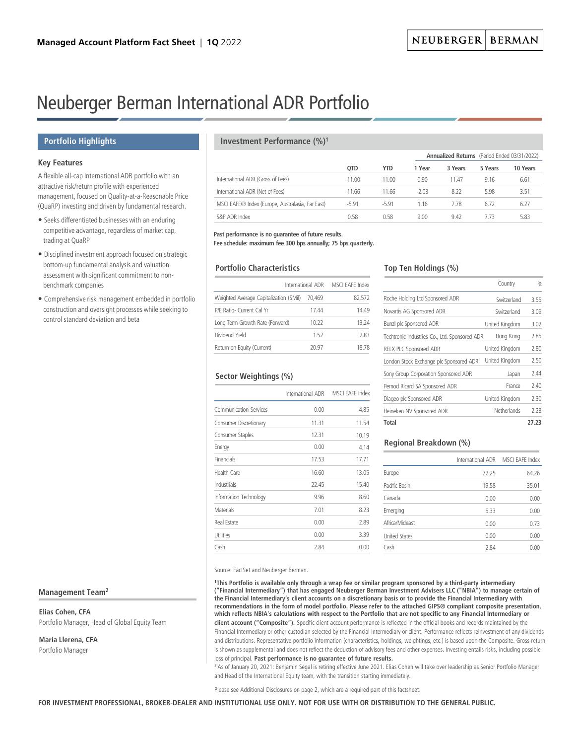# Neuberger Berman International ADR Portfolio

# **Portfolio Highlights**

# **Key Features**

A flexible all-cap International ADR portfolio with an attractive risk/return profile with experienced management, focused on Quality-at-a-Reasonable Price (QuaRP) investing and driven by fundamental research.

- Seeks differentiated businesses with an enduring competitive advantage, regardless of market cap, trading at QuaRP
- Disciplined investment approach focused on strategic bottom-up fundamental analysis and valuation assessment with significant commitment to nonbenchmark companies
- Comprehensive risk management embedded in portfolio construction and oversight processes while seeking to control standard deviation and beta

# **Management Team2**

**Elias Cohen, CFA** Portfolio Manager, Head of Global Equity Team

**Maria Llerena, CFA** Portfolio Manager

# **Investment Performance (%)1**

|                                                  |            |            |         |         |         | <b>Annualized Returns</b> (Period Ended 03/31/2022) |  |  |
|--------------------------------------------------|------------|------------|---------|---------|---------|-----------------------------------------------------|--|--|
|                                                  | <b>OTD</b> | <b>YTD</b> | 1 Year  | 3 Years | 5 Years | 10 Years                                            |  |  |
| International ADR (Gross of Fees)                | $-11.00$   | $-11.00$   | 0.90    | 11.47   | 9.16    | 6.61                                                |  |  |
| International ADR (Net of Fees)                  | $-11.66$   | $-11.66$   | $-2.03$ | 8.22    | 5.98    | 3.51                                                |  |  |
| MSCI EAFE® Index (Europe, Australasia, Far East) | $-5.91$    | $-5.91$    | 1.16    | 7.78    | 6.72    | 6.27                                                |  |  |
| S&P ADR Index                                    | 0.58       | 0.58       | 9.00    | 9.42    | 7 73    | 5.83                                                |  |  |

**Past performance is no guarantee of future results.**

**Fee schedule: maximum fee 300 bps annually; 75 bps quarterly.**

# **Portfolio Characteristics**

| International ADR                       | MSCI EAFE Index |        |
|-----------------------------------------|-----------------|--------|
| Weighted Average Capitalization (\$Mil) | 70.469          | 82,572 |
| P/F Ratio- Current Cal Yr               | 17 44           | 14.49  |
| Long Term Growth Rate (Forward)         | 10.22           | 13 24  |
| Dividend Yield                          | 152             | 283    |
| Return on Equity (Current)              | 20.97           | 18 78  |

# **Sector Weightings (%)**

|                        | International ADR | MSCI EAFE Index |
|------------------------|-------------------|-----------------|
| Communication Services | 0.00              | 4.85            |
| Consumer Discretionary | 11.31             | 11.54           |
| Consumer Staples       | 12.31             | 10.19           |
| Energy                 | 0.00              | 4.14            |
| Financials             | 17.53             | 17.71           |
| Health Care            | 16.60             | 13.05           |
| Industrials            | 22.45             | 15.40           |
| Information Technology | 9.96              | 8.60            |
| <b>Materials</b>       | 7.01              | 8.23            |
| Real Estate            | 0.00              | 2.89            |
| Utilities              | 0.00              | 3.39            |
| Cash                   | 2.84              | 0.00            |

# **Top Ten Holdings (%)**

|                                               | Country        | $\frac{0}{0}$ |
|-----------------------------------------------|----------------|---------------|
| Roche Holding Ltd Sponsored ADR               | Switzerland    | 3.55          |
| Novartis AG Sponsored ADR                     | Switzerland    | 3.09          |
| Bunzl plc Sponsored ADR                       | United Kingdom | 3.02          |
| Techtronic Industries Co., Ltd. Sponsored ADR | Hong Kong      | 2.85          |
| RELX PLC Sponsored ADR                        | United Kingdom | 2.80          |
| London Stock Exchange plc Sponsored ADR       | United Kingdom | 2.50          |
| Sony Group Corporation Sponsored ADR          | Japan          | 2.44          |
| Pernod Ricard SA Sponsored ADR                | France         | 2.40          |
| Diageo plc Sponsored ADR                      | United Kingdom | 2.30          |
| Heineken NV Sponsored ADR                     | Netherlands    | 2.28          |
| Total                                         |                | 27.23         |

# **Regional Breakdown (%)**

|                      | International ADR MSCI EAFE Index |       |
|----------------------|-----------------------------------|-------|
| Europe               | 72.25                             | 64.26 |
| Pacific Basin        | 19.58                             | 35.01 |
| Canada               | 0.00                              | 0.00  |
| Emerging             | 5.33                              | 0.00  |
| Africa/Mideast       | 0.00                              | 0.73  |
| <b>United States</b> | 0.00                              | 0.00  |
| Cash                 | 2.84                              | 0.00  |

Source: FactSet and Neuberger Berman.

 **1This Portfolio is available only through a wrap fee or similar program sponsored by a third-party intermediary ("Financial Intermediary") that has engaged Neuberger Berman Investment Advisers LLC ("NBIA") to manage certain of the Financial Intermediary's client accounts on a discretionary basis or to provide the Financial Intermediary with recommendations in the form of model portfolio. Please refer to the attached GIPS® compliant composite presentation, which reflects NBIA's calculations with respect to the Portfolio that are not specific to any Financial Intermediary or client account ("Composite").** Specific client account performance is reflected in the official books and records maintained by the Financial Intermediary or other custodian selected by the Financial Intermediary or client. Performance reflects reinvestment of any dividends and distributions. Representative portfolio information (characteristics, holdings, weightings, etc.) is based upon the Composite. Gross return is shown as supplemental and does not reflect the deduction of advisory fees and other expenses. Investing entails risks, including possible loss of principal. **Past performance is no guarantee of future results.**

<sup>2</sup> As of January 20, 2021: Benjamin Segal is retiring effective June 2021. Elias Cohen will take over leadership as Senior Portfolio Manager and Head of the International Equity team, with the transition starting immediately.

Please see Additional Disclosures on page 2, which are a required part of this factsheet.

**FOR INVESTMENT PROFESSIONAL, BROKER-DEALER AND INSTITUTIONAL USE ONLY. NOT FOR USE WITH OR DISTRIBUTION TO THE GENERAL PUBLIC.**